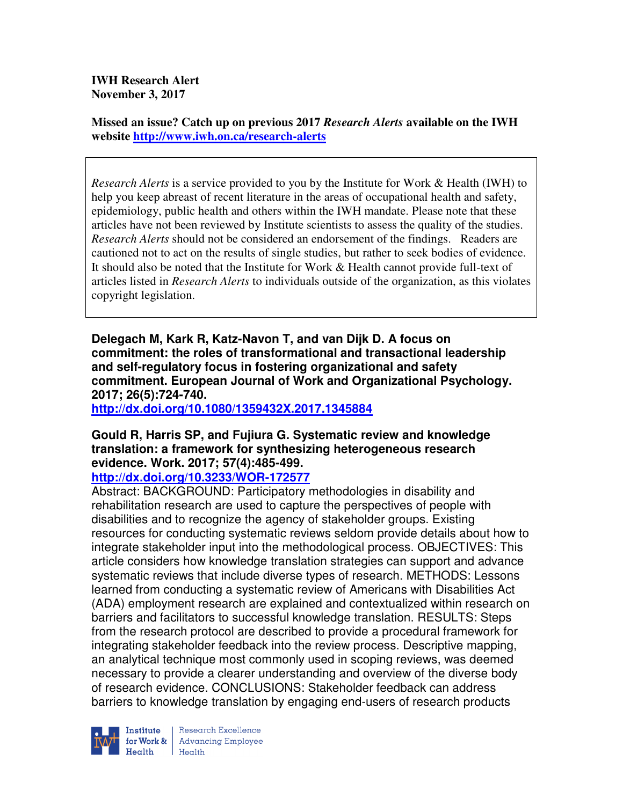**IWH Research Alert November 3, 2017** 

**Missed an issue? Catch up on previous 2017** *Research Alerts* **available on the IWH website http://www.iwh.on.ca/research-alerts**

*Research Alerts* is a service provided to you by the Institute for Work & Health (IWH) to help you keep abreast of recent literature in the areas of occupational health and safety, epidemiology, public health and others within the IWH mandate. Please note that these articles have not been reviewed by Institute scientists to assess the quality of the studies. *Research Alerts* should not be considered an endorsement of the findings. Readers are cautioned not to act on the results of single studies, but rather to seek bodies of evidence. It should also be noted that the Institute for Work & Health cannot provide full-text of articles listed in *Research Alerts* to individuals outside of the organization, as this violates copyright legislation.

**Delegach M, Kark R, Katz-Navon T, and van Dijk D. A focus on commitment: the roles of transformational and transactional leadership and self-regulatory focus in fostering organizational and safety commitment. European Journal of Work and Organizational Psychology. 2017; 26(5):724-740.** 

**http://dx.doi.org/10.1080/1359432X.2017.1345884** 

## **Gould R, Harris SP, and Fujiura G. Systematic review and knowledge translation: a framework for synthesizing heterogeneous research evidence. Work. 2017; 57(4):485-499.**

**http://dx.doi.org/10.3233/WOR-172577** 

Abstract: BACKGROUND: Participatory methodologies in disability and rehabilitation research are used to capture the perspectives of people with disabilities and to recognize the agency of stakeholder groups. Existing resources for conducting systematic reviews seldom provide details about how to integrate stakeholder input into the methodological process. OBJECTIVES: This article considers how knowledge translation strategies can support and advance systematic reviews that include diverse types of research. METHODS: Lessons learned from conducting a systematic review of Americans with Disabilities Act (ADA) employment research are explained and contextualized within research on barriers and facilitators to successful knowledge translation. RESULTS: Steps from the research protocol are described to provide a procedural framework for integrating stakeholder feedback into the review process. Descriptive mapping, an analytical technique most commonly used in scoping reviews, was deemed necessary to provide a clearer understanding and overview of the diverse body of research evidence. CONCLUSIONS: Stakeholder feedback can address barriers to knowledge translation by engaging end-users of research products

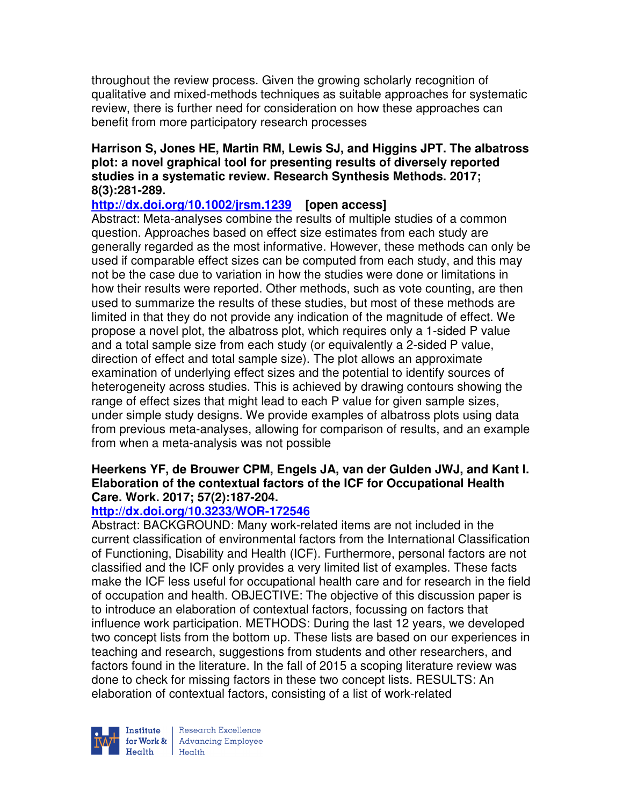throughout the review process. Given the growing scholarly recognition of qualitative and mixed-methods techniques as suitable approaches for systematic review, there is further need for consideration on how these approaches can benefit from more participatory research processes

## **Harrison S, Jones HE, Martin RM, Lewis SJ, and Higgins JPT. The albatross plot: a novel graphical tool for presenting results of diversely reported studies in a systematic review. Research Synthesis Methods. 2017; 8(3):281-289.**

**http://dx.doi.org/10.1002/jrsm.1239 [open access]**

Abstract: Meta-analyses combine the results of multiple studies of a common question. Approaches based on effect size estimates from each study are generally regarded as the most informative. However, these methods can only be used if comparable effect sizes can be computed from each study, and this may not be the case due to variation in how the studies were done or limitations in how their results were reported. Other methods, such as vote counting, are then used to summarize the results of these studies, but most of these methods are limited in that they do not provide any indication of the magnitude of effect. We propose a novel plot, the albatross plot, which requires only a 1-sided P value and a total sample size from each study (or equivalently a 2-sided P value, direction of effect and total sample size). The plot allows an approximate examination of underlying effect sizes and the potential to identify sources of heterogeneity across studies. This is achieved by drawing contours showing the range of effect sizes that might lead to each P value for given sample sizes, under simple study designs. We provide examples of albatross plots using data from previous meta-analyses, allowing for comparison of results, and an example from when a meta-analysis was not possible

## **Heerkens YF, de Brouwer CPM, Engels JA, van der Gulden JWJ, and Kant I. Elaboration of the contextual factors of the ICF for Occupational Health Care. Work. 2017; 57(2):187-204.**

# **http://dx.doi.org/10.3233/WOR-172546**

Abstract: BACKGROUND: Many work-related items are not included in the current classification of environmental factors from the International Classification of Functioning, Disability and Health (ICF). Furthermore, personal factors are not classified and the ICF only provides a very limited list of examples. These facts make the ICF less useful for occupational health care and for research in the field of occupation and health. OBJECTIVE: The objective of this discussion paper is to introduce an elaboration of contextual factors, focussing on factors that influence work participation. METHODS: During the last 12 years, we developed two concept lists from the bottom up. These lists are based on our experiences in teaching and research, suggestions from students and other researchers, and factors found in the literature. In the fall of 2015 a scoping literature review was done to check for missing factors in these two concept lists. RESULTS: An elaboration of contextual factors, consisting of a list of work-related

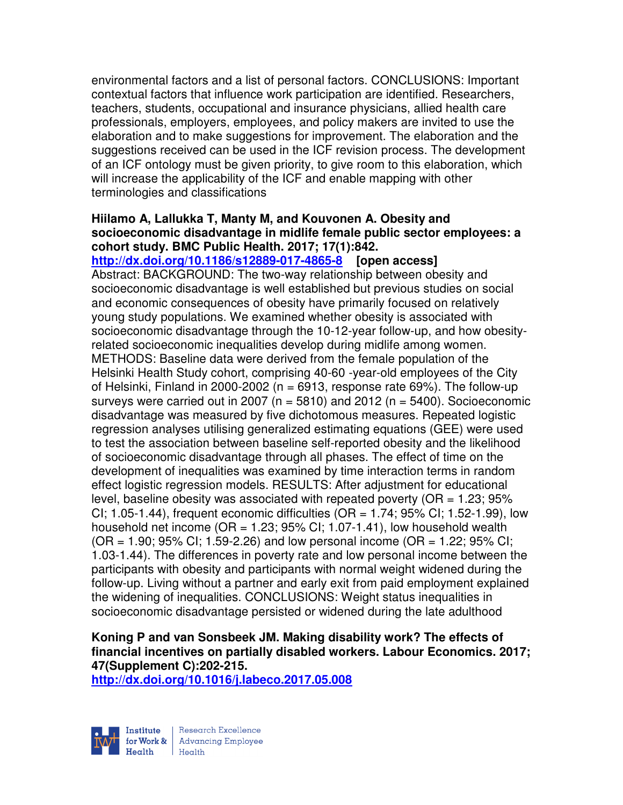environmental factors and a list of personal factors. CONCLUSIONS: Important contextual factors that influence work participation are identified. Researchers, teachers, students, occupational and insurance physicians, allied health care professionals, employers, employees, and policy makers are invited to use the elaboration and to make suggestions for improvement. The elaboration and the suggestions received can be used in the ICF revision process. The development of an ICF ontology must be given priority, to give room to this elaboration, which will increase the applicability of the ICF and enable mapping with other terminologies and classifications

## **Hiilamo A, Lallukka T, Manty M, and Kouvonen A. Obesity and socioeconomic disadvantage in midlife female public sector employees: a cohort study. BMC Public Health. 2017; 17(1):842.**

**http://dx.doi.org/10.1186/s12889-017-4865-8 [open access]** Abstract: BACKGROUND: The two-way relationship between obesity and socioeconomic disadvantage is well established but previous studies on social and economic consequences of obesity have primarily focused on relatively young study populations. We examined whether obesity is associated with socioeconomic disadvantage through the 10-12-year follow-up, and how obesityrelated socioeconomic inequalities develop during midlife among women. METHODS: Baseline data were derived from the female population of the Helsinki Health Study cohort, comprising 40-60 -year-old employees of the City of Helsinki, Finland in 2000-2002 ( $n = 6913$ , response rate 69%). The follow-up surveys were carried out in 2007 ( $n = 5810$ ) and 2012 ( $n = 5400$ ). Socioeconomic disadvantage was measured by five dichotomous measures. Repeated logistic regression analyses utilising generalized estimating equations (GEE) were used to test the association between baseline self-reported obesity and the likelihood of socioeconomic disadvantage through all phases. The effect of time on the development of inequalities was examined by time interaction terms in random effect logistic regression models. RESULTS: After adjustment for educational level, baseline obesity was associated with repeated poverty ( $OR = 1.23$ ;  $95\%$ ) CI; 1.05-1.44), frequent economic difficulties (OR = 1.74; 95% CI; 1.52-1.99), low household net income ( $OR = 1.23$ ;  $95\%$  CI; 1.07-1.41), low household wealth  $(OR = 1.90; 95\% \text{ Cl}; 1.59-2.26)$  and low personal income  $(OR = 1.22; 95\% \text{ Cl};$ 1.03-1.44). The differences in poverty rate and low personal income between the

participants with obesity and participants with normal weight widened during the follow-up. Living without a partner and early exit from paid employment explained the widening of inequalities. CONCLUSIONS: Weight status inequalities in socioeconomic disadvantage persisted or widened during the late adulthood

# **Koning P and van Sonsbeek JM. Making disability work? The effects of financial incentives on partially disabled workers. Labour Economics. 2017; 47(Supplement C):202-215.**

**http://dx.doi.org/10.1016/j.labeco.2017.05.008** 

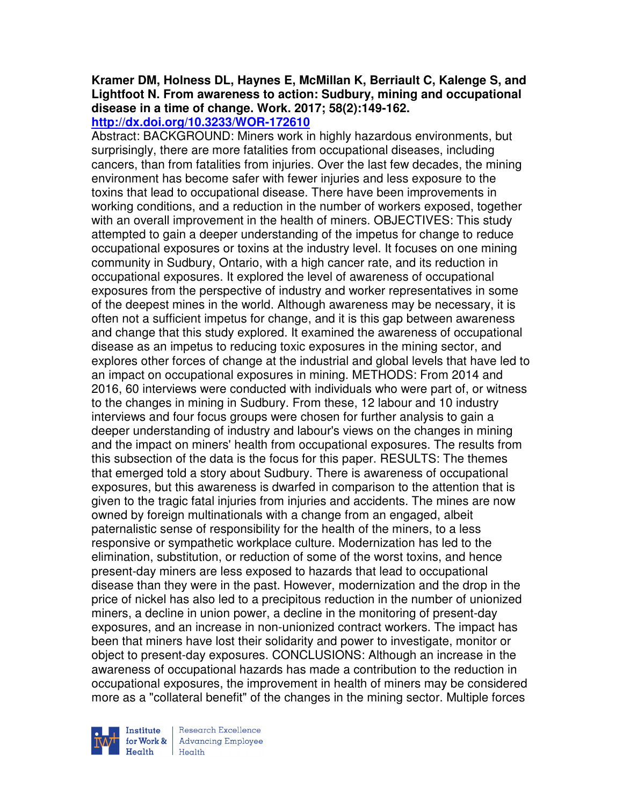# **Kramer DM, Holness DL, Haynes E, McMillan K, Berriault C, Kalenge S, and Lightfoot N. From awareness to action: Sudbury, mining and occupational disease in a time of change. Work. 2017; 58(2):149-162.**

**http://dx.doi.org/10.3233/WOR-172610** 

Abstract: BACKGROUND: Miners work in highly hazardous environments, but surprisingly, there are more fatalities from occupational diseases, including cancers, than from fatalities from injuries. Over the last few decades, the mining environment has become safer with fewer injuries and less exposure to the toxins that lead to occupational disease. There have been improvements in working conditions, and a reduction in the number of workers exposed, together with an overall improvement in the health of miners. OBJECTIVES: This study attempted to gain a deeper understanding of the impetus for change to reduce occupational exposures or toxins at the industry level. It focuses on one mining community in Sudbury, Ontario, with a high cancer rate, and its reduction in occupational exposures. It explored the level of awareness of occupational exposures from the perspective of industry and worker representatives in some of the deepest mines in the world. Although awareness may be necessary, it is often not a sufficient impetus for change, and it is this gap between awareness and change that this study explored. It examined the awareness of occupational disease as an impetus to reducing toxic exposures in the mining sector, and explores other forces of change at the industrial and global levels that have led to an impact on occupational exposures in mining. METHODS: From 2014 and 2016, 60 interviews were conducted with individuals who were part of, or witness to the changes in mining in Sudbury. From these, 12 labour and 10 industry interviews and four focus groups were chosen for further analysis to gain a deeper understanding of industry and labour's views on the changes in mining and the impact on miners' health from occupational exposures. The results from this subsection of the data is the focus for this paper. RESULTS: The themes that emerged told a story about Sudbury. There is awareness of occupational exposures, but this awareness is dwarfed in comparison to the attention that is given to the tragic fatal injuries from injuries and accidents. The mines are now owned by foreign multinationals with a change from an engaged, albeit paternalistic sense of responsibility for the health of the miners, to a less responsive or sympathetic workplace culture. Modernization has led to the elimination, substitution, or reduction of some of the worst toxins, and hence present-day miners are less exposed to hazards that lead to occupational disease than they were in the past. However, modernization and the drop in the price of nickel has also led to a precipitous reduction in the number of unionized miners, a decline in union power, a decline in the monitoring of present-day exposures, and an increase in non-unionized contract workers. The impact has been that miners have lost their solidarity and power to investigate, monitor or object to present-day exposures. CONCLUSIONS: Although an increase in the awareness of occupational hazards has made a contribution to the reduction in occupational exposures, the improvement in health of miners may be considered more as a "collateral benefit" of the changes in the mining sector. Multiple forces



Research Excellence **Advancing Employee** Health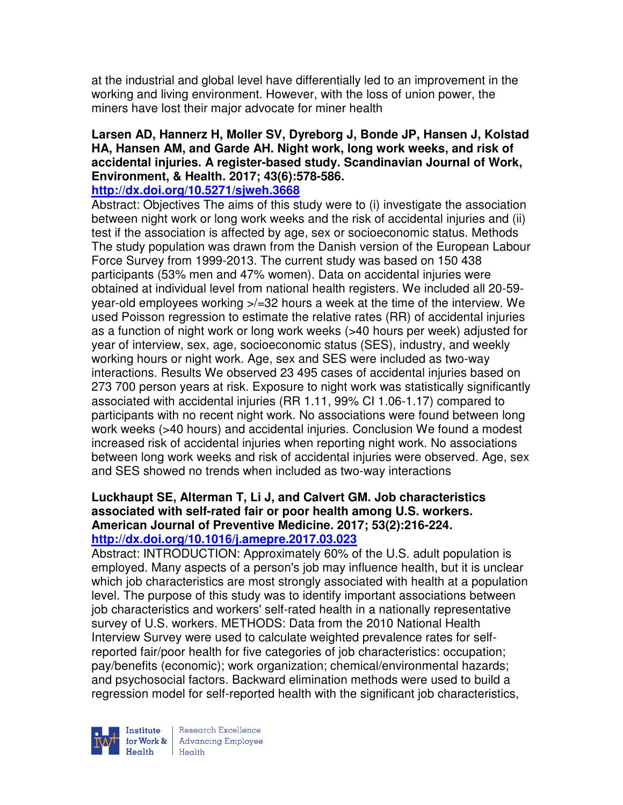at the industrial and global level have differentially led to an improvement in the working and living environment. However, with the loss of union power, the miners have lost their major advocate for miner health

## **Larsen AD, Hannerz H, Moller SV, Dyreborg J, Bonde JP, Hansen J, Kolstad HA, Hansen AM, and Garde AH. Night work, long work weeks, and risk of accidental injuries. A register-based study. Scandinavian Journal of Work, Environment, & Health. 2017; 43(6):578-586.**

## **http://dx.doi.org/10.5271/sjweh.3668**

Abstract: Objectives The aims of this study were to (i) investigate the association between night work or long work weeks and the risk of accidental injuries and (ii) test if the association is affected by age, sex or socioeconomic status. Methods The study population was drawn from the Danish version of the European Labour Force Survey from 1999-2013. The current study was based on 150 438 participants (53% men and 47% women). Data on accidental injuries were obtained at individual level from national health registers. We included all 20-59 year-old employees working >/=32 hours a week at the time of the interview. We used Poisson regression to estimate the relative rates (RR) of accidental injuries as a function of night work or long work weeks (>40 hours per week) adjusted for year of interview, sex, age, socioeconomic status (SES), industry, and weekly working hours or night work. Age, sex and SES were included as two-way interactions. Results We observed 23 495 cases of accidental injuries based on 273 700 person years at risk. Exposure to night work was statistically significantly associated with accidental injuries (RR 1.11, 99% CI 1.06-1.17) compared to participants with no recent night work. No associations were found between long work weeks (>40 hours) and accidental injuries. Conclusion We found a modest increased risk of accidental injuries when reporting night work. No associations between long work weeks and risk of accidental injuries were observed. Age, sex and SES showed no trends when included as two-way interactions

## **Luckhaupt SE, Alterman T, Li J, and Calvert GM. Job characteristics associated with self-rated fair or poor health among U.S. workers. American Journal of Preventive Medicine. 2017; 53(2):216-224. http://dx.doi.org/10.1016/j.amepre.2017.03.023**

Abstract: INTRODUCTION: Approximately 60% of the U.S. adult population is employed. Many aspects of a person's job may influence health, but it is unclear which job characteristics are most strongly associated with health at a population level. The purpose of this study was to identify important associations between job characteristics and workers' self-rated health in a nationally representative survey of U.S. workers. METHODS: Data from the 2010 National Health Interview Survey were used to calculate weighted prevalence rates for selfreported fair/poor health for five categories of job characteristics: occupation; pay/benefits (economic); work organization; chemical/environmental hazards; and psychosocial factors. Backward elimination methods were used to build a regression model for self-reported health with the significant job characteristics,

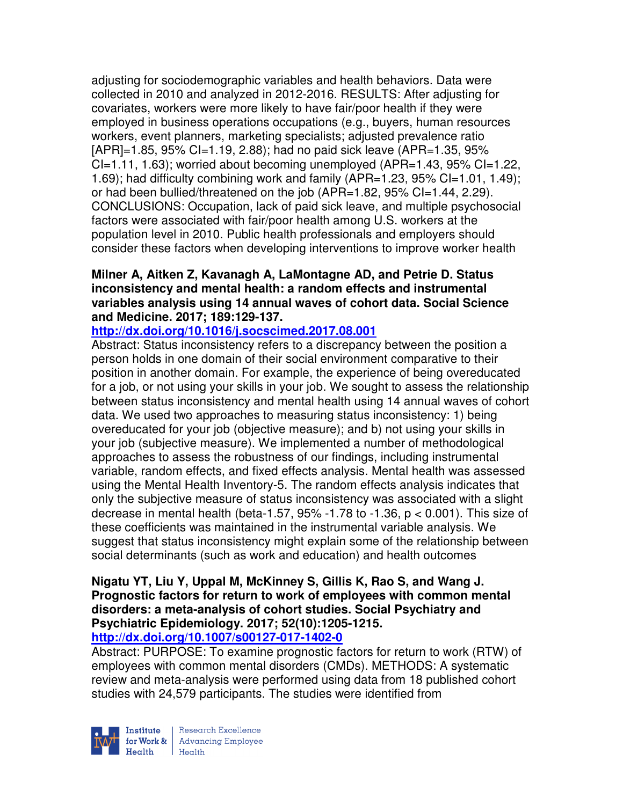adjusting for sociodemographic variables and health behaviors. Data were collected in 2010 and analyzed in 2012-2016. RESULTS: After adjusting for covariates, workers were more likely to have fair/poor health if they were employed in business operations occupations (e.g., buyers, human resources workers, event planners, marketing specialists; adjusted prevalence ratio [APR]=1.85, 95% CI=1.19, 2.88); had no paid sick leave (APR=1.35, 95%  $Cl=1.11, 1.63$ ; worried about becoming unemployed (APR=1.43, 95%  $Cl=1.22$ , 1.69); had difficulty combining work and family (APR=1.23, 95% CI=1.01, 1.49); or had been bullied/threatened on the job (APR=1.82, 95% CI=1.44, 2.29). CONCLUSIONS: Occupation, lack of paid sick leave, and multiple psychosocial factors were associated with fair/poor health among U.S. workers at the population level in 2010. Public health professionals and employers should consider these factors when developing interventions to improve worker health

## **Milner A, Aitken Z, Kavanagh A, LaMontagne AD, and Petrie D. Status inconsistency and mental health: a random effects and instrumental variables analysis using 14 annual waves of cohort data. Social Science and Medicine. 2017; 189:129-137.**

## **http://dx.doi.org/10.1016/j.socscimed.2017.08.001**

Abstract: Status inconsistency refers to a discrepancy between the position a person holds in one domain of their social environment comparative to their position in another domain. For example, the experience of being overeducated for a job, or not using your skills in your job. We sought to assess the relationship between status inconsistency and mental health using 14 annual waves of cohort data. We used two approaches to measuring status inconsistency: 1) being overeducated for your job (objective measure); and b) not using your skills in your job (subjective measure). We implemented a number of methodological approaches to assess the robustness of our findings, including instrumental variable, random effects, and fixed effects analysis. Mental health was assessed using the Mental Health Inventory-5. The random effects analysis indicates that only the subjective measure of status inconsistency was associated with a slight decrease in mental health (beta-1.57, 95% -1.78 to -1.36, p < 0.001). This size of these coefficients was maintained in the instrumental variable analysis. We suggest that status inconsistency might explain some of the relationship between social determinants (such as work and education) and health outcomes

#### **Nigatu YT, Liu Y, Uppal M, McKinney S, Gillis K, Rao S, and Wang J. Prognostic factors for return to work of employees with common mental disorders: a meta-analysis of cohort studies. Social Psychiatry and Psychiatric Epidemiology. 2017; 52(10):1205-1215. http://dx.doi.org/10.1007/s00127-017-1402-0**

Abstract: PURPOSE: To examine prognostic factors for return to work (RTW) of employees with common mental disorders (CMDs). METHODS: A systematic review and meta-analysis were performed using data from 18 published cohort studies with 24,579 participants. The studies were identified from

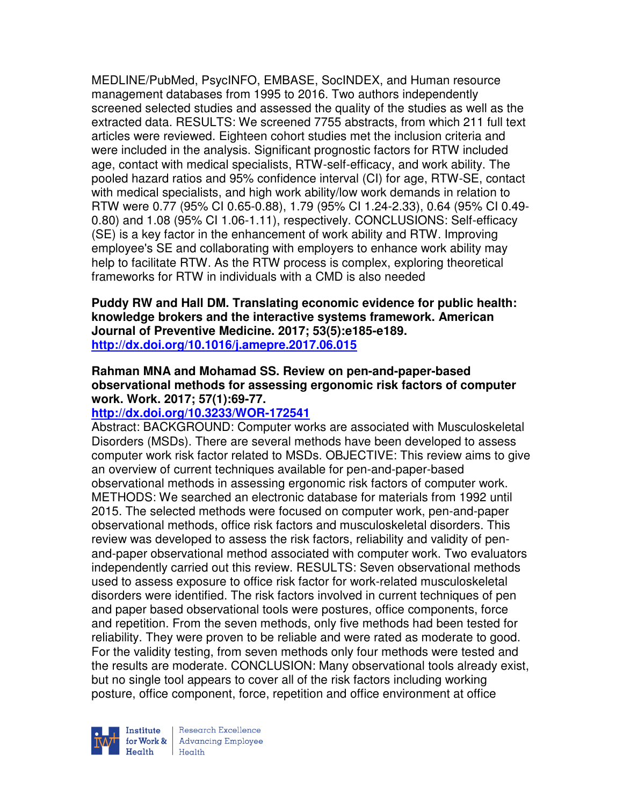MEDLINE/PubMed, PsycINFO, EMBASE, SocINDEX, and Human resource management databases from 1995 to 2016. Two authors independently screened selected studies and assessed the quality of the studies as well as the extracted data. RESULTS: We screened 7755 abstracts, from which 211 full text articles were reviewed. Eighteen cohort studies met the inclusion criteria and were included in the analysis. Significant prognostic factors for RTW included age, contact with medical specialists, RTW-self-efficacy, and work ability. The pooled hazard ratios and 95% confidence interval (CI) for age, RTW-SE, contact with medical specialists, and high work ability/low work demands in relation to RTW were 0.77 (95% CI 0.65-0.88), 1.79 (95% CI 1.24-2.33), 0.64 (95% CI 0.49- 0.80) and 1.08 (95% CI 1.06-1.11), respectively. CONCLUSIONS: Self-efficacy (SE) is a key factor in the enhancement of work ability and RTW. Improving employee's SE and collaborating with employers to enhance work ability may help to facilitate RTW. As the RTW process is complex, exploring theoretical frameworks for RTW in individuals with a CMD is also needed

**Puddy RW and Hall DM. Translating economic evidence for public health: knowledge brokers and the interactive systems framework. American Journal of Preventive Medicine. 2017; 53(5):e185-e189. http://dx.doi.org/10.1016/j.amepre.2017.06.015** 

## **Rahman MNA and Mohamad SS. Review on pen-and-paper-based observational methods for assessing ergonomic risk factors of computer work. Work. 2017; 57(1):69-77.**

## **http://dx.doi.org/10.3233/WOR-172541**

Abstract: BACKGROUND: Computer works are associated with Musculoskeletal Disorders (MSDs). There are several methods have been developed to assess computer work risk factor related to MSDs. OBJECTIVE: This review aims to give an overview of current techniques available for pen-and-paper-based observational methods in assessing ergonomic risk factors of computer work. METHODS: We searched an electronic database for materials from 1992 until 2015. The selected methods were focused on computer work, pen-and-paper observational methods, office risk factors and musculoskeletal disorders. This review was developed to assess the risk factors, reliability and validity of penand-paper observational method associated with computer work. Two evaluators independently carried out this review. RESULTS: Seven observational methods used to assess exposure to office risk factor for work-related musculoskeletal disorders were identified. The risk factors involved in current techniques of pen and paper based observational tools were postures, office components, force and repetition. From the seven methods, only five methods had been tested for reliability. They were proven to be reliable and were rated as moderate to good. For the validity testing, from seven methods only four methods were tested and the results are moderate. CONCLUSION: Many observational tools already exist, but no single tool appears to cover all of the risk factors including working posture, office component, force, repetition and office environment at office

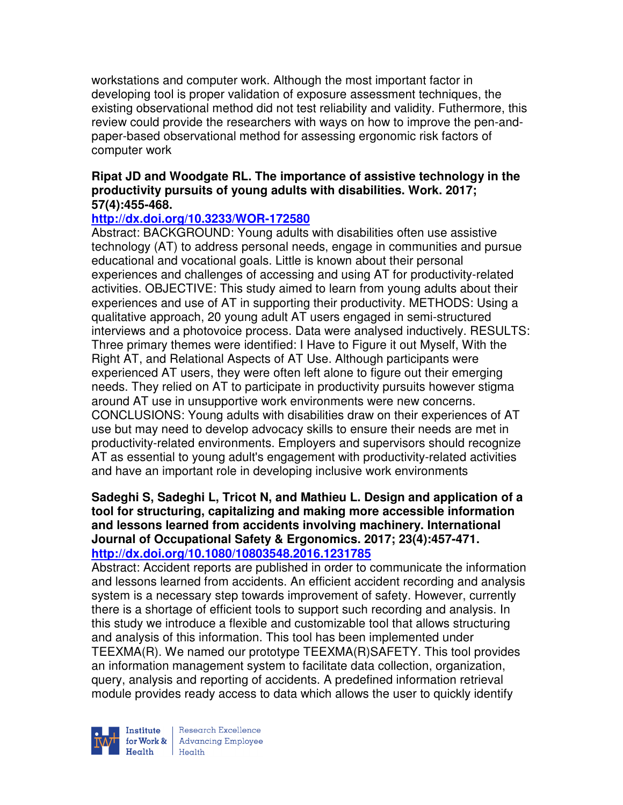workstations and computer work. Although the most important factor in developing tool is proper validation of exposure assessment techniques, the existing observational method did not test reliability and validity. Futhermore, this review could provide the researchers with ways on how to improve the pen-andpaper-based observational method for assessing ergonomic risk factors of computer work

## **Ripat JD and Woodgate RL. The importance of assistive technology in the productivity pursuits of young adults with disabilities. Work. 2017; 57(4):455-468.**

## **http://dx.doi.org/10.3233/WOR-172580**

Abstract: BACKGROUND: Young adults with disabilities often use assistive technology (AT) to address personal needs, engage in communities and pursue educational and vocational goals. Little is known about their personal experiences and challenges of accessing and using AT for productivity-related activities. OBJECTIVE: This study aimed to learn from young adults about their experiences and use of AT in supporting their productivity. METHODS: Using a qualitative approach, 20 young adult AT users engaged in semi-structured interviews and a photovoice process. Data were analysed inductively. RESULTS: Three primary themes were identified: I Have to Figure it out Myself, With the Right AT, and Relational Aspects of AT Use. Although participants were experienced AT users, they were often left alone to figure out their emerging needs. They relied on AT to participate in productivity pursuits however stigma around AT use in unsupportive work environments were new concerns. CONCLUSIONS: Young adults with disabilities draw on their experiences of AT use but may need to develop advocacy skills to ensure their needs are met in productivity-related environments. Employers and supervisors should recognize AT as essential to young adult's engagement with productivity-related activities and have an important role in developing inclusive work environments

## **Sadeghi S, Sadeghi L, Tricot N, and Mathieu L. Design and application of a tool for structuring, capitalizing and making more accessible information and lessons learned from accidents involving machinery. International Journal of Occupational Safety & Ergonomics. 2017; 23(4):457-471. http://dx.doi.org/10.1080/10803548.2016.1231785**

Abstract: Accident reports are published in order to communicate the information and lessons learned from accidents. An efficient accident recording and analysis system is a necessary step towards improvement of safety. However, currently there is a shortage of efficient tools to support such recording and analysis. In this study we introduce a flexible and customizable tool that allows structuring and analysis of this information. This tool has been implemented under TEEXMA(R). We named our prototype TEEXMA(R)SAFETY. This tool provides an information management system to facilitate data collection, organization, query, analysis and reporting of accidents. A predefined information retrieval module provides ready access to data which allows the user to quickly identify



| Research Excellence Institute<br>
for Work & Advancing Employee<br>
Health Health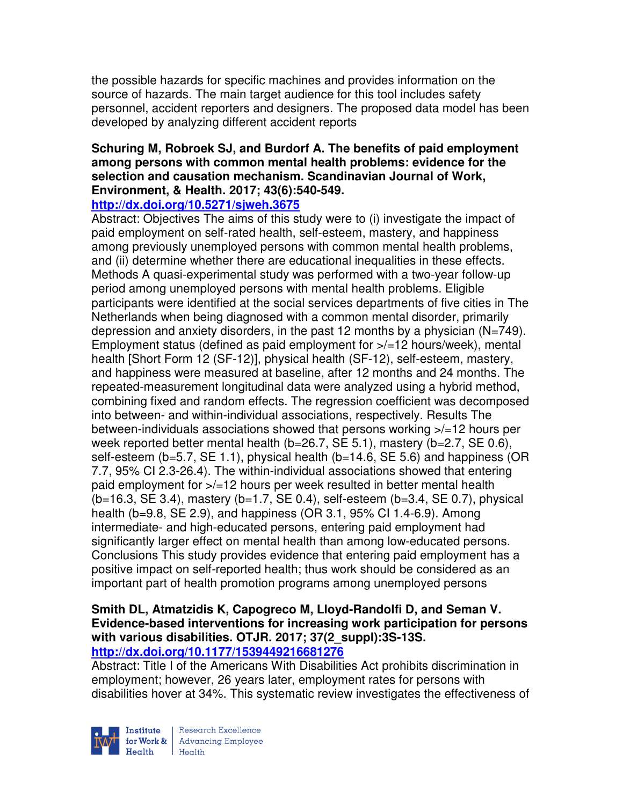the possible hazards for specific machines and provides information on the source of hazards. The main target audience for this tool includes safety personnel, accident reporters and designers. The proposed data model has been developed by analyzing different accident reports

#### **Schuring M, Robroek SJ, and Burdorf A. The benefits of paid employment among persons with common mental health problems: evidence for the selection and causation mechanism. Scandinavian Journal of Work, Environment, & Health. 2017; 43(6):540-549. http://dx.doi.org/10.5271/sjweh.3675**

Abstract: Objectives The aims of this study were to (i) investigate the impact of paid employment on self-rated health, self-esteem, mastery, and happiness among previously unemployed persons with common mental health problems, and (ii) determine whether there are educational inequalities in these effects. Methods A quasi-experimental study was performed with a two-year follow-up period among unemployed persons with mental health problems. Eligible participants were identified at the social services departments of five cities in The Netherlands when being diagnosed with a common mental disorder, primarily depression and anxiety disorders, in the past 12 months by a physician (N=749). Employment status (defined as paid employment for  $\frac{1}{2}$  hours/week), mental health [Short Form 12 (SF-12)], physical health (SF-12), self-esteem, mastery, and happiness were measured at baseline, after 12 months and 24 months. The repeated-measurement longitudinal data were analyzed using a hybrid method, combining fixed and random effects. The regression coefficient was decomposed into between- and within-individual associations, respectively. Results The between-individuals associations showed that persons working >/=12 hours per week reported better mental health (b=26.7, SE 5.1), mastery (b=2.7, SE 0.6), self-esteem (b=5.7, SE 1.1), physical health (b=14.6, SE 5.6) and happiness (OR 7.7, 95% CI 2.3-26.4). The within-individual associations showed that entering paid employment for >/=12 hours per week resulted in better mental health  $(b=16.3, SE 3.4)$ , mastery  $(b=1.7, SE 0.4)$ , self-esteem  $(b=3.4, SE 0.7)$ , physical health (b=9.8, SE 2.9), and happiness (OR 3.1, 95% CI 1.4-6.9). Among intermediate- and high-educated persons, entering paid employment had significantly larger effect on mental health than among low-educated persons. Conclusions This study provides evidence that entering paid employment has a positive impact on self-reported health; thus work should be considered as an important part of health promotion programs among unemployed persons

## **Smith DL, Atmatzidis K, Capogreco M, Lloyd-Randolfi D, and Seman V. Evidence-based interventions for increasing work participation for persons with various disabilities. OTJR. 2017; 37(2\_suppl):3S-13S. http://dx.doi.org/10.1177/1539449216681276**

Abstract: Title I of the Americans With Disabilities Act prohibits discrimination in employment; however, 26 years later, employment rates for persons with disabilities hover at 34%. This systematic review investigates the effectiveness of

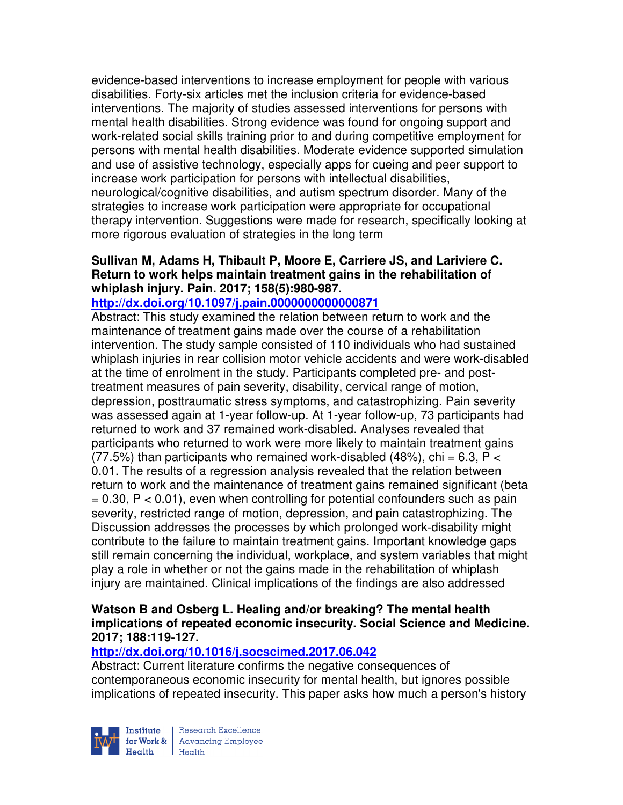evidence-based interventions to increase employment for people with various disabilities. Forty-six articles met the inclusion criteria for evidence-based interventions. The majority of studies assessed interventions for persons with mental health disabilities. Strong evidence was found for ongoing support and work-related social skills training prior to and during competitive employment for persons with mental health disabilities. Moderate evidence supported simulation and use of assistive technology, especially apps for cueing and peer support to increase work participation for persons with intellectual disabilities, neurological/cognitive disabilities, and autism spectrum disorder. Many of the strategies to increase work participation were appropriate for occupational therapy intervention. Suggestions were made for research, specifically looking at more rigorous evaluation of strategies in the long term

#### **Sullivan M, Adams H, Thibault P, Moore E, Carriere JS, and Lariviere C. Return to work helps maintain treatment gains in the rehabilitation of whiplash injury. Pain. 2017; 158(5):980-987.**

## **http://dx.doi.org/10.1097/j.pain.0000000000000871**

Abstract: This study examined the relation between return to work and the maintenance of treatment gains made over the course of a rehabilitation intervention. The study sample consisted of 110 individuals who had sustained whiplash injuries in rear collision motor vehicle accidents and were work-disabled at the time of enrolment in the study. Participants completed pre- and posttreatment measures of pain severity, disability, cervical range of motion, depression, posttraumatic stress symptoms, and catastrophizing. Pain severity was assessed again at 1-year follow-up. At 1-year follow-up, 73 participants had returned to work and 37 remained work-disabled. Analyses revealed that participants who returned to work were more likely to maintain treatment gains (77.5%) than participants who remained work-disabled (48%), chi = 6.3,  $P <$ 0.01. The results of a regression analysis revealed that the relation between return to work and the maintenance of treatment gains remained significant (beta  $= 0.30$ ,  $P < 0.01$ ), even when controlling for potential confounders such as pain severity, restricted range of motion, depression, and pain catastrophizing. The Discussion addresses the processes by which prolonged work-disability might contribute to the failure to maintain treatment gains. Important knowledge gaps still remain concerning the individual, workplace, and system variables that might play a role in whether or not the gains made in the rehabilitation of whiplash injury are maintained. Clinical implications of the findings are also addressed

## **Watson B and Osberg L. Healing and/or breaking? The mental health implications of repeated economic insecurity. Social Science and Medicine. 2017; 188:119-127.**

## **http://dx.doi.org/10.1016/j.socscimed.2017.06.042**

Abstract: Current literature confirms the negative consequences of contemporaneous economic insecurity for mental health, but ignores possible implications of repeated insecurity. This paper asks how much a person's history